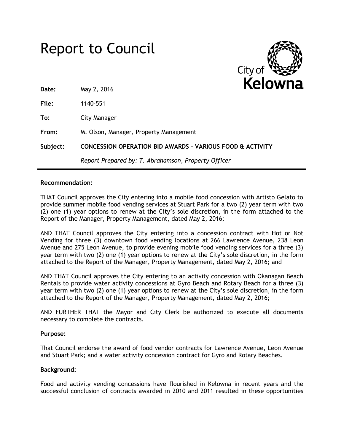|          | <b>Report to Council</b>                                             | City of |
|----------|----------------------------------------------------------------------|---------|
| Date:    | May 2, 2016                                                          | Kelowna |
| File:    | 1140-551                                                             |         |
| To:      | City Manager                                                         |         |
| From:    | M. Olson, Manager, Property Management                               |         |
| Subject: | <b>CONCESSION OPERATION BID AWARDS - VARIOUS FOOD &amp; ACTIVITY</b> |         |
|          | Report Prepared by: T. Abrahamson, Property Officer                  |         |

## **Recommendation:**

THAT Council approves the City entering into a mobile food concession with Artisto Gelato to provide summer mobile food vending services at Stuart Park for a two (2) year term with two (2) one (1) year options to renew at the City's sole discretion, in the form attached to the Report of the Manager, Property Management, dated May 2, 2016;

AND THAT Council approves the City entering into a concession contract with Hot or Not Vending for three (3) downtown food vending locations at 266 Lawrence Avenue, 238 Leon Avenue and 275 Leon Avenue, to provide evening mobile food vending services for a three (3) year term with two (2) one (1) year options to renew at the City's sole discretion, in the form attached to the Report of the Manager, Property Management, dated May 2, 2016; and

AND THAT Council approves the City entering to an activity concession with Okanagan Beach Rentals to provide water activity concessions at Gyro Beach and Rotary Beach for a three (3) year term with two (2) one (1) year options to renew at the City's sole discretion, in the form attached to the Report of the Manager, Property Management, dated May 2, 2016;

AND FURTHER THAT the Mayor and City Clerk be authorized to execute all documents necessary to complete the contracts.

## **Purpose:**

That Council endorse the award of food vendor contracts for Lawrence Avenue, Leon Avenue and Stuart Park; and a water activity concession contract for Gyro and Rotary Beaches.

## **Background:**

Food and activity vending concessions have flourished in Kelowna in recent years and the successful conclusion of contracts awarded in 2010 and 2011 resulted in these opportunities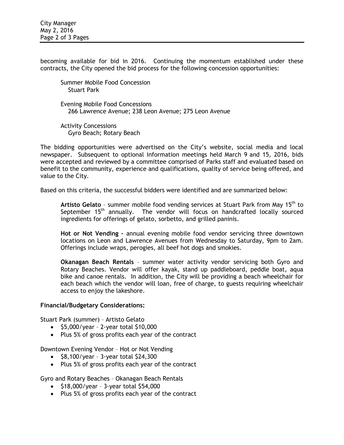becoming available for bid in 2016. Continuing the momentum established under these contracts, the City opened the bid process for the following concession opportunities:

Summer Mobile Food Concession Stuart Park

Evening Mobile Food Concessions 266 Lawrence Avenue; 238 Leon Avenue; 275 Leon Avenue

Activity Concessions Gyro Beach; Rotary Beach

The bidding opportunities were advertised on the City's website, social media and local newspaper. Subsequent to optional information meetings held March 9 and 15, 2016, bids were accepted and reviewed by a committee comprised of Parks staff and evaluated based on benefit to the community, experience and qualifications, quality of service being offered, and value to the City.

Based on this criteria, the successful bidders were identified and are summarized below:

Artisto Gelato - summer mobile food vending services at Stuart Park from May 15<sup>th</sup> to September 15<sup>th</sup> annually. The vendor will focus on handcrafted locally sourced ingredients for offerings of gelato, sorbetto, and grilled paninis.

**Hot or Not Vending –** annual evening mobile food vendor servicing three downtown locations on Leon and Lawrence Avenues from Wednesday to Saturday, 9pm to 2am. Offerings include wraps, perogies, all beef hot dogs and smokies.

**Okanagan Beach Rentals** – summer water activity vendor servicing both Gyro and Rotary Beaches. Vendor will offer kayak, stand up paddleboard, peddle boat, aqua bike and canoe rentals. In addition, the City will be providing a beach wheelchair for each beach which the vendor will loan, free of charge, to guests requiring wheelchair access to enjoy the lakeshore.

## **Financial/Budgetary Considerations:**

Stuart Park (summer) – Artisto Gelato

- $\bullet$  \$5,000/year 2-year total \$10,000
- Plus 5% of gross profits each year of the contract

Downtown Evening Vendor – Hot or Not Vending

- $\bullet$  \$8,100/year 3-year total \$24,300
- Plus 5% of gross profits each year of the contract

Gyro and Rotary Beaches – Okanagan Beach Rentals

- $\bullet$  \$18,000/year 3-year total \$54,000
- Plus 5% of gross profits each year of the contract